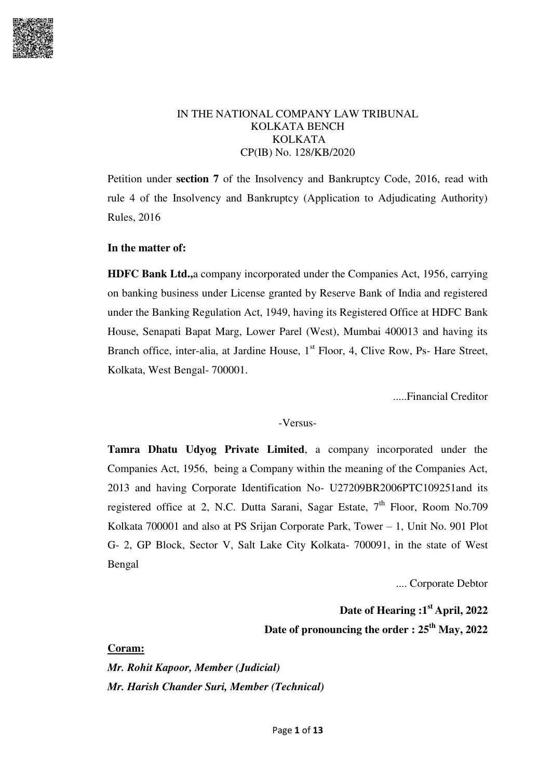

# IN THE NATIONAL COMPANY LAW TRIBUNAL KOLKATA BENCH **KOLKATA** CP(IB) No. 128/KB/2020

Petition under section 7 of the Insolvency and Bankruptcy Code, 2016, read with rule 4 of the Insolvency and Bankruptcy (Application to Adjudicating Authority) **Rules**, 2016

### In the matter of:

**HDFC Bank Ltd., a company incorporated under the Companies Act, 1956, carrying** on banking business under License granted by Reserve Bank of India and registered under the Banking Regulation Act, 1949, having its Registered Office at HDFC Bank House, Senapati Bapat Marg, Lower Parel (West), Mumbai 400013 and having its Branch office, inter-alia, at Jardine House, 1<sup>st</sup> Floor, 4, Clive Row, Ps- Hare Street, Kolkata, West Bengal- 700001.

.....Financial Creditor

### -Versus-

Tamra Dhatu Udyog Private Limited, a company incorporated under the Companies Act, 1956, being a Company within the meaning of the Companies Act, 2013 and having Corporate Identification No- U27209BR2006PTC109251and its registered office at 2, N.C. Dutta Sarani, Sagar Estate, 7<sup>th</sup> Floor, Room No.709 Kolkata 700001 and also at PS Srijan Corporate Park, Tower - 1, Unit No. 901 Plot G- 2, GP Block, Sector V, Salt Lake City Kolkata- 700091, in the state of West Bengal

.... Corporate Debtor

Date of Hearing : 1<sup>st</sup> April, 2022 Date of pronouncing the order :  $25<sup>th</sup>$  May, 2022

#### Coram:

Mr. Rohit Kapoor, Member (Judicial) Mr. Harish Chander Suri, Member (Technical)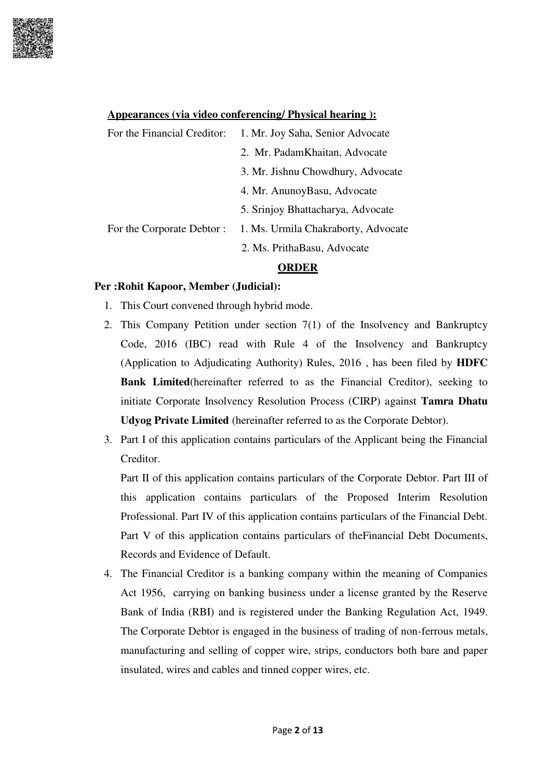

### Appearances (via video conferencing/Physical hearing):

| For the Financial Creditor: | 1. Mr. Joy Saha, Senior Advocate    |
|-----------------------------|-------------------------------------|
|                             | 2. Mr. PadamKhaitan, Advocate       |
|                             | 3. Mr. Jishnu Chowdhury, Advocate   |
|                             | 4. Mr. AnunoyBasu, Advocate         |
|                             | 5. Srinjoy Bhattacharya, Advocate   |
| For the Corporate Debtor:   | 1. Ms. Urmila Chakraborty, Advocate |
|                             | 2. Ms. PrithaBasu, Advocate         |

#### **ORDER**

#### Per: Rohit Kapoor, Member (Judicial):

- 1. This Court convened through hybrid mode.
- 2. This Company Petition under section 7(1) of the Insolvency and Bankruptcy Code, 2016 (IBC) read with Rule 4 of the Insolvency and Bankruptcy (Application to Adjudicating Authority) Rules, 2016, has been filed by HDFC **Bank Limited** (hereinafter referred to as the Financial Creditor), seeking to initiate Corporate Insolvency Resolution Process (CIRP) against Tamra Dhatu **Udvog Private Limited** (hereinafter referred to as the Corporate Debtor).
- 3. Part I of this application contains particulars of the Applicant being the Financial Creditor.

Part II of this application contains particulars of the Corporate Debtor. Part III of this application contains particulars of the Proposed Interim Resolution Professional. Part IV of this application contains particulars of the Financial Debt. Part V of this application contains particulars of the Financial Debt Documents, Records and Evidence of Default.

4. The Financial Creditor is a banking company within the meaning of Companies Act 1956, carrying on banking business under a license granted by the Reserve Bank of India (RBI) and is registered under the Banking Regulation Act, 1949. The Corporate Debtor is engaged in the business of trading of non-ferrous metals, manufacturing and selling of copper wire, strips, conductors both bare and paper insulated, wires and cables and tinned copper wires, etc.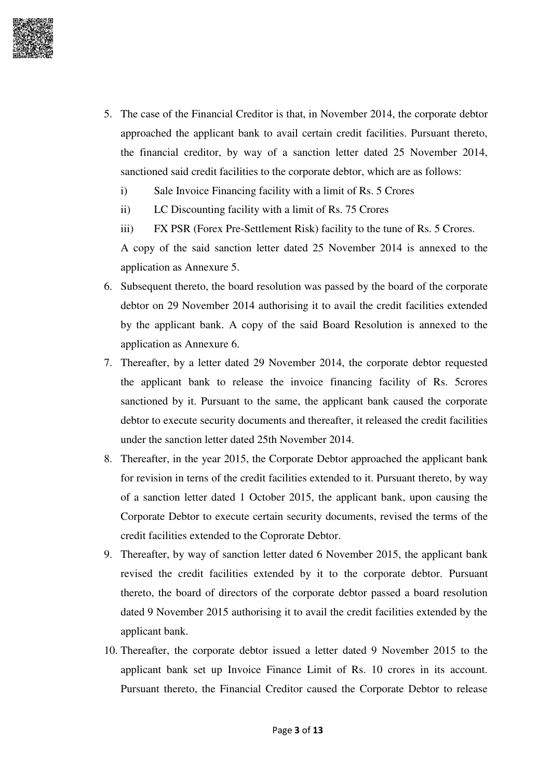

- 5. The case of the Financial Creditor is that, in November 2014, the corporate debtor approached the applicant bank to avail certain credit facilities. Pursuant thereto, the financial creditor, by way of a sanction letter dated 25 November 2014, sanctioned said credit facilities to the corporate debtor, which are as follows:
	- $\mathbf{i}$ Sale Invoice Financing facility with a limit of Rs. 5 Crores
	- $\mathbf{ii}$ LC Discounting facility with a limit of Rs. 75 Crores
	- $\overline{111}$ FX PSR (Forex Pre-Settlement Risk) facility to the tune of Rs. 5 Crores.

A copy of the said sanction letter dated 25 November 2014 is annexed to the application as Annexure 5.

- 6. Subsequent thereto, the board resolution was passed by the board of the corporate debtor on 29 November 2014 authorising it to avail the credit facilities extended by the applicant bank. A copy of the said Board Resolution is annexed to the application as Annexure 6.
- 7. Thereafter, by a letter dated 29 November 2014, the corporate debtor requested the applicant bank to release the invoice financing facility of Rs. 5 crores sanctioned by it. Pursuant to the same, the applicant bank caused the corporate debtor to execute security documents and thereafter, it released the credit facilities under the sanction letter dated 25th November 2014.
- 8. Thereafter, in the year 2015, the Corporate Debtor approached the applicant bank for revision in terns of the credit facilities extended to it. Pursuant thereto, by way of a sanction letter dated 1 October 2015, the applicant bank, upon causing the Corporate Debtor to execute certain security documents, revised the terms of the credit facilities extended to the Coprorate Debtor.
- 9. Thereafter, by way of sanction letter dated 6 November 2015, the applicant bank revised the credit facilities extended by it to the corporate debtor. Pursuant thereto, the board of directors of the corporate debtor passed a board resolution dated 9 November 2015 authorising it to avail the credit facilities extended by the applicant bank.
- 10. Thereafter, the corporate debtor issued a letter dated 9 November 2015 to the applicant bank set up Invoice Finance Limit of Rs. 10 crores in its account. Pursuant thereto, the Financial Creditor caused the Corporate Debtor to release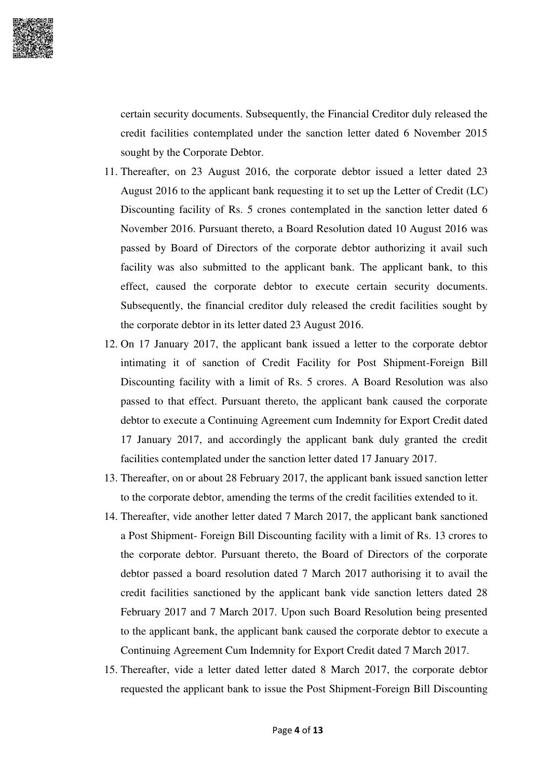

certain security documents. Subsequently, the Financial Creditor duly released the credit facilities contemplated under the sanction letter dated 6 November 2015 sought by the Corporate Debtor.

- 11. Thereafter, on 23 August 2016, the corporate debtor issued a letter dated 23 August 2016 to the applicant bank requesting it to set up the Letter of Credit (LC) Discounting facility of Rs. 5 crones contemplated in the sanction letter dated 6 November 2016. Pursuant thereto, a Board Resolution dated 10 August 2016 was passed by Board of Directors of the corporate debtor authorizing it avail such facility was also submitted to the applicant bank. The applicant bank, to this effect, caused the corporate debtor to execute certain security documents. Subsequently, the financial creditor duly released the credit facilities sought by the corporate debtor in its letter dated 23 August 2016.
- 12. On 17 January 2017, the applicant bank issued a letter to the corporate debtor intimating it of sanction of Credit Facility for Post Shipment-Foreign Bill Discounting facility with a limit of Rs. 5 crores. A Board Resolution was also passed to that effect. Pursuant thereto, the applicant bank caused the corporate debtor to execute a Continuing Agreement cum Indemnity for Export Credit dated 17 January 2017, and accordingly the applicant bank duly granted the credit facilities contemplated under the sanction letter dated 17 January 2017.
- 13. Thereafter, on or about 28 February 2017, the applicant bank issued sanction letter to the corporate debtor, amending the terms of the credit facilities extended to it.
- 14. Thereafter, vide another letter dated 7 March 2017, the applicant bank sanctioned a Post Shipment- Foreign Bill Discounting facility with a limit of Rs. 13 crores to the corporate debtor. Pursuant thereto, the Board of Directors of the corporate debtor passed a board resolution dated 7 March 2017 authorising it to avail the credit facilities sanctioned by the applicant bank vide sanction letters dated 28 February 2017 and 7 March 2017. Upon such Board Resolution being presented to the applicant bank, the applicant bank caused the corporate debtor to execute a Continuing Agreement Cum Indemnity for Export Credit dated 7 March 2017.
- 15. Thereafter, vide a letter dated letter dated 8 March 2017, the corporate debtor requested the applicant bank to issue the Post Shipment-Foreign Bill Discounting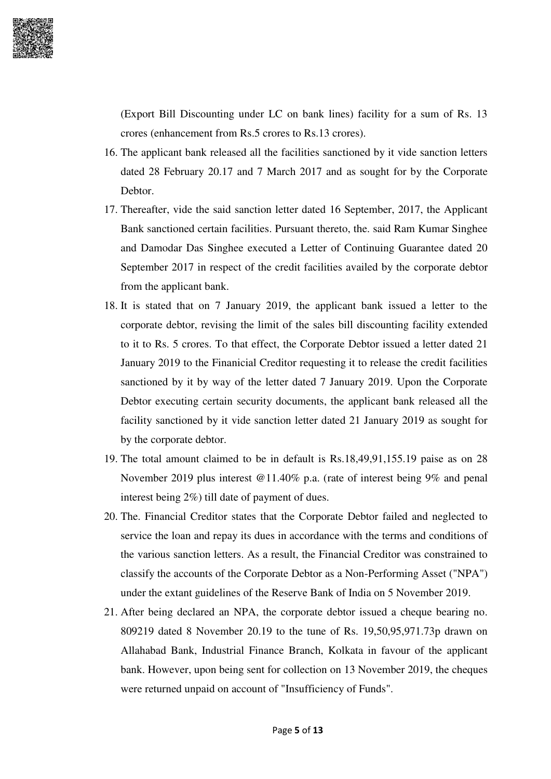

(Export Bill Discounting under LC on bank lines) facility for a sum of Rs. 13 crores (enhancement from Rs.5 crores to Rs.13 crores).

- 16. The applicant bank released all the facilities sanctioned by it vide sanction letters dated 28 February 20.17 and 7 March 2017 and as sought for by the Corporate Debtor.
- 17. Thereafter, vide the said sanction letter dated 16 September, 2017, the Applicant Bank sanctioned certain facilities. Pursuant thereto, the. said Ram Kumar Singhee and Damodar Das Singhee executed a Letter of Continuing Guarantee dated 20 September 2017 in respect of the credit facilities availed by the corporate debtor from the applicant bank.
- 18. It is stated that on 7 January 2019, the applicant bank issued a letter to the corporate debtor, revising the limit of the sales bill discounting facility extended to it to Rs. 5 crores. To that effect, the Corporate Debtor issued a letter dated 21 January 2019 to the Finanicial Creditor requesting it to release the credit facilities sanctioned by it by way of the letter dated 7 January 2019. Upon the Corporate Debtor executing certain security documents, the applicant bank released all the facility sanctioned by it vide sanction letter dated 21 January 2019 as sought for by the corporate debtor.
- 19. The total amount claimed to be in default is Rs.18,49,91,155.19 paise as on 28 November 2019 plus interest @11.40% p.a. (rate of interest being 9% and penal interest being 2%) till date of payment of dues.
- 20. The. Financial Creditor states that the Corporate Debtor failed and neglected to service the loan and repay its dues in accordance with the terms and conditions of the various sanction letters. As a result, the Financial Creditor was constrained to classify the accounts of the Corporate Debtor as a Non-Performing Asset ("NPA") under the extant guidelines of the Reserve Bank of India on 5 November 2019.
- 21. After being declared an NPA, the corporate debtor issued a cheque bearing no. 809219 dated 8 November 20.19 to the tune of Rs. 19,50,95,971.73p drawn on Allahabad Bank, Industrial Finance Branch, Kolkata in favour of the applicant bank. However, upon being sent for collection on 13 November 2019, the cheques were returned unpaid on account of "Insufficiency of Funds".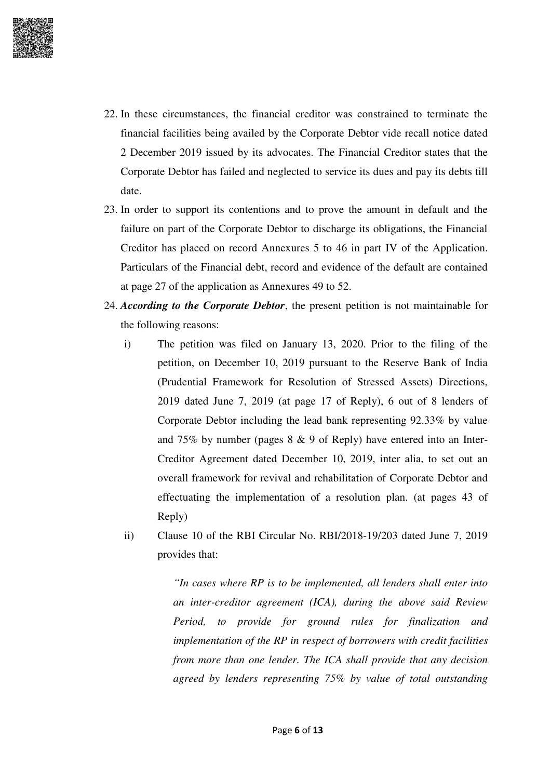

- 22. In these circumstances, the financial creditor was constrained to terminate the financial facilities being availed by the Corporate Debtor vide recall notice dated 2 December 2019 issued by its advocates. The Financial Creditor states that the Corporate Debtor has failed and neglected to service its dues and pay its debts till date.
- 23. In order to support its contentions and to prove the amount in default and the failure on part of the Corporate Debtor to discharge its obligations, the Financial Creditor has placed on record Annexures 5 to 46 in part IV of the Application. Particulars of the Financial debt, record and evidence of the default are contained at page 27 of the application as Annexures 49 to 52.
- 24. According to the Corporate Debtor, the present petition is not maintainable for the following reasons:
	- $\mathbf{i}$ The petition was filed on January 13, 2020. Prior to the filing of the petition, on December 10, 2019 pursuant to the Reserve Bank of India (Prudential Framework for Resolution of Stressed Assets) Directions, 2019 dated June 7, 2019 (at page 17 of Reply), 6 out of 8 lenders of Corporate Debtor including the lead bank representing 92.33% by value and 75% by number (pages  $8 \& 9$  of Reply) have entered into an Inter-Creditor Agreement dated December 10, 2019, inter alia, to set out an overall framework for revival and rehabilitation of Corporate Debtor and effectuating the implementation of a resolution plan. (at pages 43 of Reply)
	- $\mathbf{ii}$ Clause 10 of the RBI Circular No. RBI/2018-19/203 dated June 7, 2019 provides that:

"In cases where RP is to be implemented, all lenders shall enter into an inter-creditor agreement (ICA), during the above said Review Period, to provide for ground rules for finalization and implementation of the RP in respect of borrowers with credit facilities from more than one lender. The ICA shall provide that any decision agreed by lenders representing 75% by value of total outstanding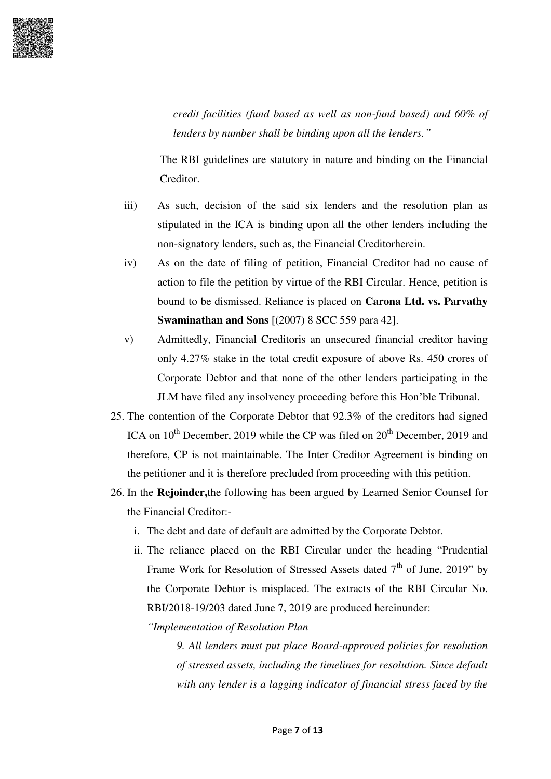

credit facilities (fund based as well as non-fund based) and 60% of lenders by number shall be binding upon all the lenders."

The RBI guidelines are statutory in nature and binding on the Financial Creditor.

- As such, decision of the said six lenders and the resolution plan as  $\overline{iii}$ stipulated in the ICA is binding upon all the other lenders including the non-signatory lenders, such as, the Financial Creditorherein.
- $iv)$ As on the date of filing of petition, Financial Creditor had no cause of action to file the petition by virtue of the RBI Circular. Hence, petition is bound to be dismissed. Reliance is placed on Carona Ltd. vs. Parvathy Swaminathan and Sons [(2007) 8 SCC 559 para 42].
- Admittedly, Financial Creditoris an unsecured financial creditor having  $V)$ only 4.27% stake in the total credit exposure of above Rs. 450 crores of Corporate Debtor and that none of the other lenders participating in the JLM have filed any insolvency proceeding before this Hon'ble Tribunal.
- 25. The contention of the Corporate Debtor that 92.3% of the creditors had signed ICA on  $10^{th}$  December, 2019 while the CP was filed on  $20^{th}$  December, 2019 and therefore, CP is not maintainable. The Inter Creditor Agreement is binding on the petitioner and it is therefore precluded from proceeding with this petition.
- 26. In the Rejoinder, the following has been argued by Learned Senior Counsel for the Financial Creditor:
	- i. The debt and date of default are admitted by the Corporate Debtor.
	- ii. The reliance placed on the RBI Circular under the heading "Prudential" Frame Work for Resolution of Stressed Assets dated 7<sup>th</sup> of June, 2019" by the Corporate Debtor is misplaced. The extracts of the RBI Circular No. RBI/2018-19/203 dated June 7, 2019 are produced hereinunder:

"Implementation of Resolution Plan

9. All lenders must put place Board-approved policies for resolution of stressed assets, including the timelines for resolution. Since default with any lender is a lagging indicator of financial stress faced by the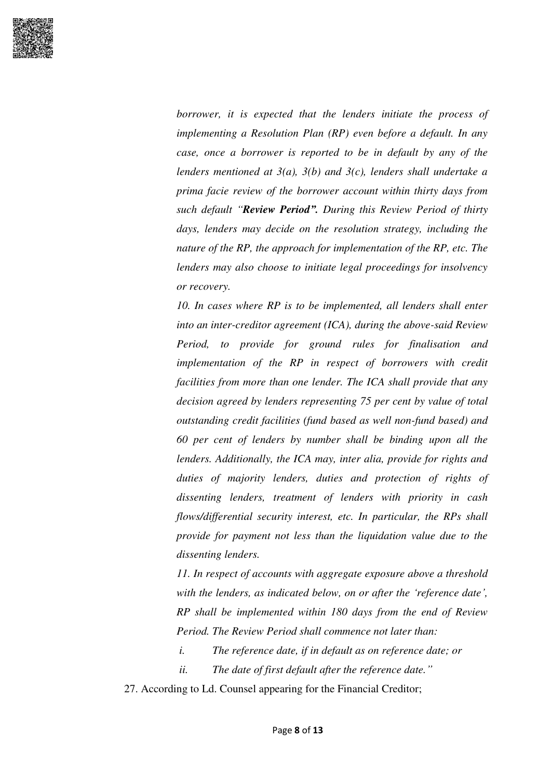

borrower, it is expected that the lenders initiate the process of implementing a Resolution Plan (RP) even before a default. In any case, once a borrower is reported to be in default by any of the lenders mentioned at  $3(a)$ ,  $3(b)$  and  $3(c)$ , lenders shall undertake a prima facie review of the borrower account within thirty days from such default "Review Period". During this Review Period of thirty days, lenders may decide on the resolution strategy, including the nature of the RP, the approach for implementation of the RP, etc. The lenders may also choose to initiate legal proceedings for insolvency or recovery.

10. In cases where RP is to be implemented, all lenders shall enter into an inter-creditor agreement (ICA), during the above-said Review Period, to provide for ground rules for finalisation and implementation of the RP in respect of borrowers with credit facilities from more than one lender. The ICA shall provide that any decision agreed by lenders representing 75 per cent by value of total outstanding credit facilities (fund based as well non-fund based) and 60 per cent of lenders by number shall be binding upon all the lenders. Additionally, the ICA may, inter alia, provide for rights and duties of majority lenders, duties and protection of rights of dissenting lenders, treatment of lenders with priority in cash flows/differential security interest, etc. In particular, the RPs shall provide for payment not less than the liquidation value due to the dissenting lenders.

11. In respect of accounts with aggregate exposure above a threshold with the lenders, as indicated below, on or after the 'reference date'. RP shall be implemented within 180 days from the end of Review Period. The Review Period shall commence not later than:

The reference date, if in default as on reference date; or  $\dot{i}$ .

 $ii$ The date of first default after the reference date."

27. According to Ld. Counsel appearing for the Financial Creditor;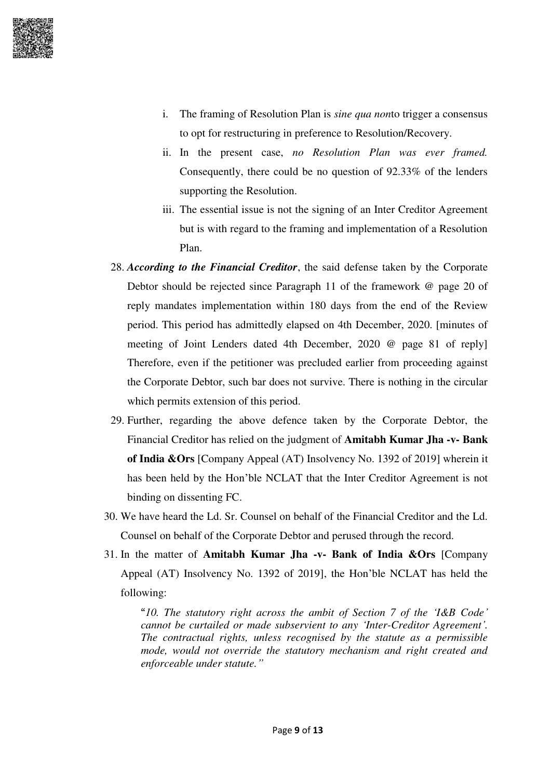

- i. The framing of Resolution Plan is *sine qua nonto* trigger a consensus to opt for restructuring in preference to Resolution/Recovery.
- ii. In the present case, no Resolution Plan was ever framed. Consequently, there could be no question of 92.33% of the lenders supporting the Resolution.
- iii. The essential issue is not the signing of an Inter Creditor Agreement but is with regard to the framing and implementation of a Resolution Plan.
- 28. According to the Financial Creditor, the said defense taken by the Corporate Debtor should be rejected since Paragraph 11 of the framework @ page 20 of reply mandates implementation within 180 days from the end of the Review period. This period has admittedly elapsed on 4th December, 2020. [minutes of meeting of Joint Lenders dated 4th December, 2020 @ page 81 of reply Therefore, even if the petitioner was precluded earlier from proceeding against the Corporate Debtor, such bar does not survive. There is nothing in the circular which permits extension of this period.
- 29. Further, regarding the above defence taken by the Corporate Debtor, the Financial Creditor has relied on the judgment of Amitabh Kumar Jha -v- Bank of India & Ors [Company Appeal (AT) Insolvency No. 1392 of 2019] wherein it has been held by the Hon'ble NCLAT that the Inter Creditor Agreement is not binding on dissenting FC.
- 30. We have heard the Ld. Sr. Counsel on behalf of the Financial Creditor and the Ld. Counsel on behalf of the Corporate Debtor and perused through the record.
- 31. In the matter of Amitabh Kumar Jha -v- Bank of India &Ors [Company Appeal (AT) Insolvency No. 1392 of 2019], the Hon'ble NCLAT has held the following:

"10. The statutory right across the ambit of Section 7 of the 'I&B Code' cannot be curtailed or made subservient to any 'Inter-Creditor Agreement'. The contractual rights, unless recognised by the statute as a permissible mode, would not override the statutory mechanism and right created and enforceable under statute."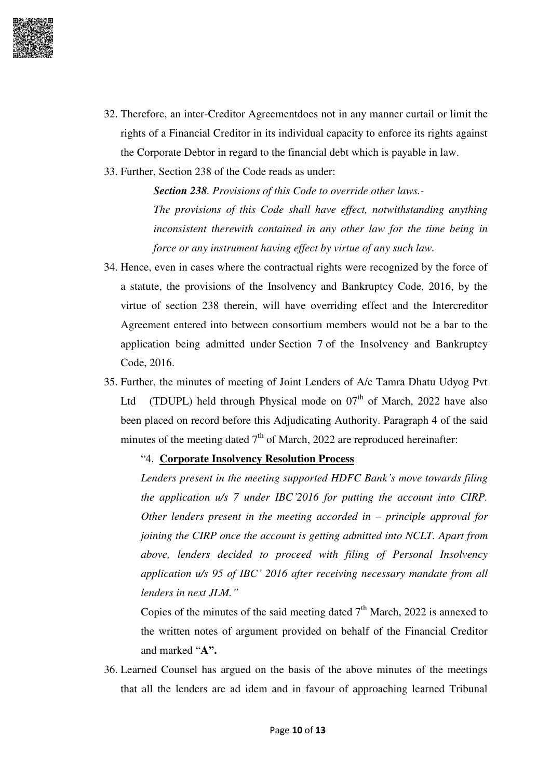

- 32. Therefore, an inter-Creditor Agreementdoes not in any manner curtail or limit the rights of a Financial Creditor in its individual capacity to enforce its rights against the Corporate Debtor in regard to the financial debt which is payable in law.
- 33. Further, Section 238 of the Code reads as under:

**Section 238.** Provisions of this Code to override other laws.-The provisions of this Code shall have effect, notwithstanding anything inconsistent therewith contained in any other law for the time being in force or any instrument having effect by virtue of any such law.

- 34. Hence, even in cases where the contractual rights were recognized by the force of a statute, the provisions of the Insolvency and Bankruptcy Code, 2016, by the virtue of section 238 therein, will have overriding effect and the Intercreditor Agreement entered into between consortium members would not be a bar to the application being admitted under Section 7 of the Insolvency and Bankruptcy Code, 2016.
- 35. Further, the minutes of meeting of Joint Lenders of A/c Tamra Dhatu Udyog Pvt (TDUPL) held through Physical mode on  $07<sup>th</sup>$  of March, 2022 have also Ltd been placed on record before this Adjudicating Authority. Paragraph 4 of the said minutes of the meeting dated  $7<sup>th</sup>$  of March, 2022 are reproduced hereinafter:

# "4. Corporate Insolvency Resolution Process

Lenders present in the meeting supported HDFC Bank's move towards filing the application  $u/s$  7 under IBC 2016 for putting the account into CIRP. Other lenders present in the meeting accorded in  $-$  principle approval for joining the CIRP once the account is getting admitted into NCLT. Apart from above, lenders decided to proceed with filing of Personal Insolvency application  $u/s$  95 of IBC' 2016 after receiving necessary mandate from all lenders in next  $JLM$ ."

Copies of the minutes of the said meeting dated  $7<sup>th</sup>$  March, 2022 is annexed to the written notes of argument provided on behalf of the Financial Creditor and marked "A".

36. Learned Counsel has argued on the basis of the above minutes of the meetings that all the lenders are ad idem and in favour of approaching learned Tribunal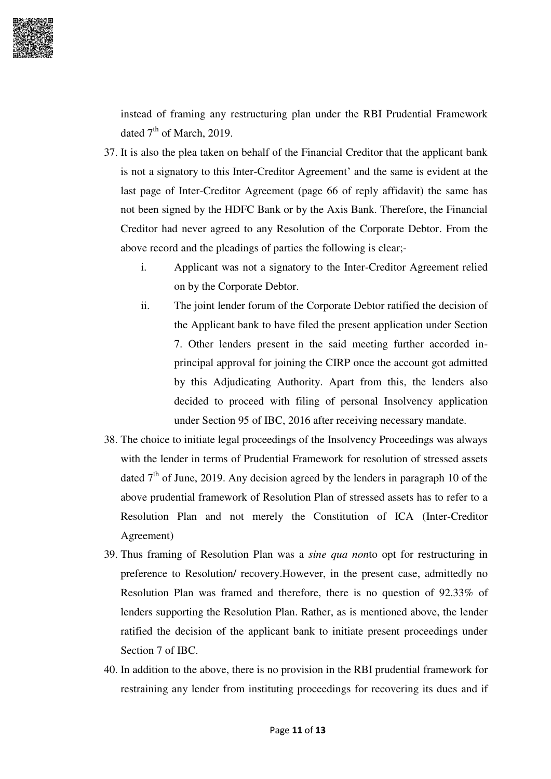

instead of framing any restructuring plan under the RBI Prudential Framework dated  $7<sup>th</sup>$  of March, 2019.

- 37. It is also the plea taken on behalf of the Financial Creditor that the applicant bank is not a signatory to this Inter-Creditor Agreement' and the same is evident at the last page of Inter-Creditor Agreement (page 66 of reply affidavit) the same has not been signed by the HDFC Bank or by the Axis Bank. Therefore, the Financial Creditor had never agreed to any Resolution of the Corporate Debtor. From the above record and the pleadings of parties the following is clear.
	- i. Applicant was not a signatory to the Inter-Creditor Agreement relied on by the Corporate Debtor.
	- $ii.$ The joint lender forum of the Corporate Debtor ratified the decision of the Applicant bank to have filed the present application under Section 7. Other lenders present in the said meeting further accorded inprincipal approval for joining the CIRP once the account got admitted by this Adjudicating Authority. Apart from this, the lenders also decided to proceed with filing of personal Insolvency application under Section 95 of IBC, 2016 after receiving necessary mandate.
- 38. The choice to initiate legal proceedings of the Insolvency Proceedings was always with the lender in terms of Prudential Framework for resolution of stressed assets dated  $7<sup>th</sup>$  of June, 2019. Any decision agreed by the lenders in paragraph 10 of the above prudential framework of Resolution Plan of stressed assets has to refer to a Resolution Plan and not merely the Constitution of ICA (Inter-Creditor Agreement)
- 39. Thus framing of Resolution Plan was a *sine qua nonto* opt for restructuring in preference to Resolution/ recovery. However, in the present case, admittedly no Resolution Plan was framed and therefore, there is no question of 92.33% of lenders supporting the Resolution Plan. Rather, as is mentioned above, the lender ratified the decision of the applicant bank to initiate present proceedings under Section 7 of IBC.
- 40. In addition to the above, there is no provision in the RBI prudential framework for restraining any lender from instituting proceedings for recovering its dues and if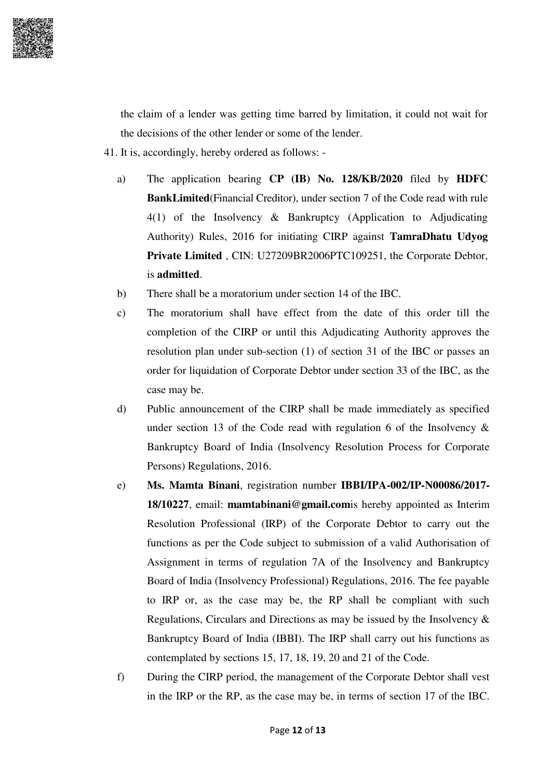

the claim of a lender was getting time barred by limitation, it could not wait for the decisions of the other lender or some of the lender.

41. It is, accordingly, hereby ordered as follows: -

- $a)$ The application bearing CP (IB) No. 128/KB/2020 filed by HDFC **BankLimited**(Financial Creditor), under section 7 of the Code read with rule  $4(1)$  of the Insolvency & Bankruptcy (Application to Adjudicating Authority) Rules, 2016 for initiating CIRP against TamraDhatu Udyog Private Limited, CIN: U27209BR2006PTC109251, the Corporate Debtor, is admitted.
- $b)$ There shall be a moratorium under section 14 of the IBC.
- The moratorium shall have effect from the date of this order till the  $\mathbf{c})$ completion of the CIRP or until this Adjudicating Authority approves the resolution plan under sub-section (1) of section 31 of the IBC or passes an order for liquidation of Corporate Debtor under section 33 of the IBC, as the case may be.
- $\mathbf{d}$ Public announcement of the CIRP shall be made immediately as specified under section 13 of the Code read with regulation 6 of the Insolvency  $\&$ Bankruptcy Board of India (Insolvency Resolution Process for Corporate Persons) Regulations, 2016.
- $e)$ Ms. Mamta Binani, registration number IBBI/IPA-002/IP-N00086/2017-18/10227, email: mamtabinani@gmail.comis hereby appointed as Interim Resolution Professional (IRP) of the Corporate Debtor to carry out the functions as per the Code subject to submission of a valid Authorisation of Assignment in terms of regulation 7A of the Insolvency and Bankruptcy Board of India (Insolvency Professional) Regulations, 2016. The fee payable to IRP or, as the case may be, the RP shall be compliant with such Regulations, Circulars and Directions as may be issued by the Insolvency  $\&$ Bankruptcy Board of India (IBBI). The IRP shall carry out his functions as contemplated by sections 15, 17, 18, 19, 20 and 21 of the Code.
- $f$ During the CIRP period, the management of the Corporate Debtor shall vest in the IRP or the RP, as the case may be, in terms of section 17 of the IBC.